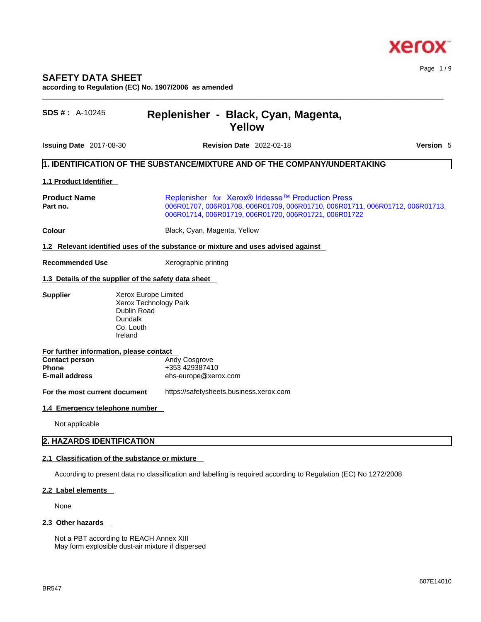

# **SAFETY DATA SHEET**

**according to Regulation (EC) No. 1907/2006 as amended** 

# **SDS # :** A-10245 **Replenisher - Black, Cyan, Magenta, Yellow**

**Issuing Date** 2017-08-30 **Revision Date** 2022-02-18 **Version** 5

 $\_$  ,  $\_$  ,  $\_$  ,  $\_$  ,  $\_$  ,  $\_$  ,  $\_$  ,  $\_$  ,  $\_$  ,  $\_$  ,  $\_$  ,  $\_$  ,  $\_$  ,  $\_$  ,  $\_$  ,  $\_$  ,  $\_$  ,  $\_$  ,  $\_$  ,  $\_$  ,  $\_$  ,  $\_$  ,  $\_$  ,  $\_$  ,  $\_$  ,  $\_$  ,  $\_$  ,  $\_$  ,  $\_$  ,  $\_$  ,  $\_$  ,  $\_$  ,  $\_$  ,  $\_$  ,  $\_$  ,  $\_$  ,  $\_$  ,

Page 1 / 9

# **1. IDENTIFICATION OF THE SUBSTANCE/MIXTURE AND OF THE COMPANY/UNDERTAKING**

## **1.1 Product Identifier**

| <b>Product Name</b> | Replenisher for Xerox <sup>®</sup> Iridesse™ Production Press                                                                         |
|---------------------|---------------------------------------------------------------------------------------------------------------------------------------|
| Part no.            | 006R01707, 006R01708, 006R01709, 006R01710, 006R01711, 006R01712, 006R01713,<br>006R01714, 006R01719, 006R01720, 006R01721, 006R01722 |

**Colour Colour Colour Black, Cyan, Magenta, Yellow** 

**1.2 Relevant identified uses of the substance or mixture and uses advised against**

**Recommended Use** Xerographic printing

### **1.3 Details of the supplier of the safety data sheet**

| <b>Supplier</b> | Xerox Europe Limited  |  |
|-----------------|-----------------------|--|
|                 | Xerox Technology Park |  |
|                 | Dublin Road           |  |
|                 | <b>Dundalk</b>        |  |
|                 | Co. Louth             |  |
|                 | Ireland               |  |
|                 |                       |  |

#### **For further information, please contact**

| <b>Contact person</b> | <b>Andy Cosgrove</b> |
|-----------------------|----------------------|
| Phone                 | +353 429387410       |
| <b>E-mail address</b> | ehs-europe@xerox.com |

**For the most current document** https://safetysheets.business.xerox.com

### **1.4 Emergency telephone number**

Not applicable

# **2. HAZARDS IDENTIFICATION**

### **2.1 Classification of the substance or mixture**

According to present data no classification and labelling is required according to Regulation (EC) No 1272/2008

## **2.2 Label elements**

None

### **2.3 Other hazards**

Not a PBT according to REACH Annex XIII May form explosible dust-air mixture if dispersed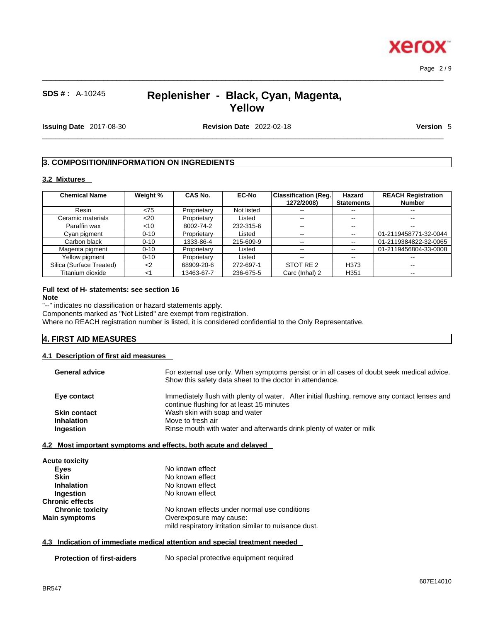**Xerox** 

# **SDS # :** A-10245 **Replenisher - Black, Cyan, Magenta, Yellow**

 $\_$  ,  $\_$  ,  $\_$  ,  $\_$  ,  $\_$  ,  $\_$  ,  $\_$  ,  $\_$  ,  $\_$  ,  $\_$  ,  $\_$  ,  $\_$  ,  $\_$  ,  $\_$  ,  $\_$  ,  $\_$  ,  $\_$  ,  $\_$  ,  $\_$  ,  $\_$  ,  $\_$  ,  $\_$  ,  $\_$  ,  $\_$  ,  $\_$  ,  $\_$  ,  $\_$  ,  $\_$  ,  $\_$  ,  $\_$  ,  $\_$  ,  $\_$  ,  $\_$  ,  $\_$  ,  $\_$  ,  $\_$  ,  $\_$  ,

**Issuing Date** 2017-08-30 **Revision Date** 2022-02-18 **Version** 5

 $\_$  ,  $\_$  ,  $\_$  ,  $\_$  ,  $\_$  ,  $\_$  ,  $\_$  ,  $\_$  ,  $\_$  ,  $\_$  ,  $\_$  ,  $\_$  ,  $\_$  ,  $\_$  ,  $\_$  ,  $\_$  ,  $\_$  ,  $\_$  ,  $\_$  ,  $\_$  ,  $\_$  ,  $\_$  ,  $\_$  ,  $\_$  ,  $\_$  ,  $\_$  ,  $\_$  ,  $\_$  ,  $\_$  ,  $\_$  ,  $\_$  ,  $\_$  ,  $\_$  ,  $\_$  ,  $\_$  ,  $\_$  ,  $\_$  ,

# **3. COMPOSITION/INFORMATION ON INGREDIENTS**

### **3.2 Mixtures**

| <b>Chemical Name</b>     | Weight %    | <b>CAS No.</b> | <b>EC-No</b> | <b>Classification (Reg.</b><br>1272/2008) | Hazard<br><b>Statements</b> | <b>REACH Registration</b><br><b>Number</b> |
|--------------------------|-------------|----------------|--------------|-------------------------------------------|-----------------------------|--------------------------------------------|
| Resin                    | <75         | Proprietary    | Not listed   | $- -$                                     | $\sim$ $\sim$               | $\overline{\phantom{m}}$                   |
| Ceramic materials        | $<$ 20      | Proprietary    | Listed       | $\overline{\phantom{m}}$                  | $\sim$ $\sim$               | $\overline{\phantom{m}}$                   |
| Paraffin wax             | $<$ 10      | 8002-74-2      | 232-315-6    | $- -$                                     | $\sim$ $\sim$               | $- -$                                      |
| Cyan pigment             | $0 - 10$    | Proprietary    | Listed       | $\sim$ $\sim$                             | $\sim$ $\sim$               | 01-2119458771-32-0044                      |
| Carbon black             | $0 - 10$    | 1333-86-4      | 215-609-9    | $\sim$ $-$                                | $\sim$ $\sim$               | 01-2119384822-32-0065                      |
| Magenta pigment          | $0 - 10$    | Proprietary    | Listed       | $\sim$ $\sim$                             | $- -$                       | 01-2119456804-33-0008                      |
| Yellow pigment           | $0 - 10$    | Proprietary    | Listed       | --                                        | $- -$                       |                                            |
| Silica (Surface Treated) | $\langle$ 2 | 68909-20-6     | 272-697-1    | STOT RE 2                                 | H373                        | $\overline{\phantom{m}}$                   |
| Titanium dioxide         | ا>          | 13463-67-7     | 236-675-5    | Carc (Inhal) 2                            | H <sub>351</sub>            | $- -$                                      |

# **Full text of H- statements: see section 16**

**Note**

"--" indicates no classification or hazard statements apply.

Components marked as "Not Listed" are exempt from registration.

Where no REACH registration number is listed, it is considered confidential to the Only Representative.

# **4. FIRST AID MEASURES**

## **4.1 Description of first aid measures**

| <b>General advice</b> | For external use only. When symptoms persist or in all cases of doubt seek medical advice.<br>Show this safety data sheet to the doctor in attendance. |
|-----------------------|--------------------------------------------------------------------------------------------------------------------------------------------------------|
| Eye contact           | Immediately flush with plenty of water. After initial flushing, remove any contact lenses and<br>continue flushing for at least 15 minutes             |
| <b>Skin contact</b>   | Wash skin with soap and water                                                                                                                          |
| <b>Inhalation</b>     | Move to fresh air                                                                                                                                      |
| Ingestion             | Rinse mouth with water and afterwards drink plenty of water or milk                                                                                    |
|                       |                                                                                                                                                        |

# **4.2 Most important symptoms and effects, both acute and delayed**

| <b>Acute toxicity</b>   |                                                       |
|-------------------------|-------------------------------------------------------|
| Eyes                    | No known effect                                       |
| <b>Skin</b>             | No known effect                                       |
| <b>Inhalation</b>       | No known effect                                       |
| Ingestion               | No known effect                                       |
| <b>Chronic effects</b>  |                                                       |
| <b>Chronic toxicity</b> | No known effects under normal use conditions          |
| <b>Main symptoms</b>    | Overexposure may cause:                               |
|                         | mild respiratory irritation similar to nuisance dust. |

## **4.3 Indication of immediate medical attention and special treatment needed**

| <b>Protection of first-aiders</b> | No special protective equipment required |
|-----------------------------------|------------------------------------------|
|-----------------------------------|------------------------------------------|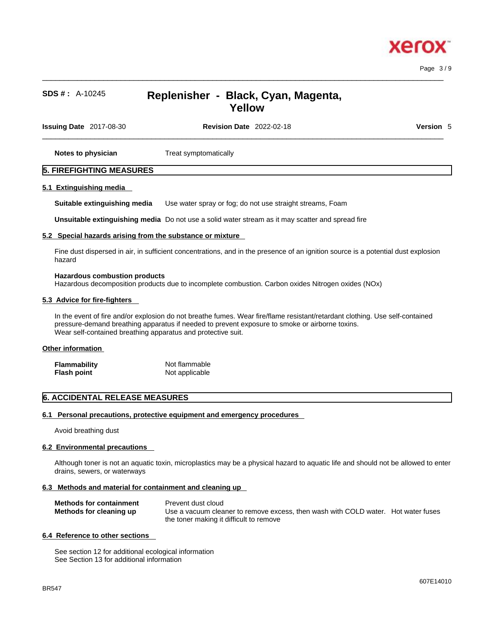

Page 3 / 9

# **SDS # :** A-10245 **Replenisher - Black, Cyan, Magenta, Yellow**

| <b>Issuing Date 2017-08-30</b> | <b>Revision Date 2022-02-18</b> | <b>Version</b> |
|--------------------------------|---------------------------------|----------------|
| Notes to physician             | Treat symptomatically           |                |

 $\_$  ,  $\_$  ,  $\_$  ,  $\_$  ,  $\_$  ,  $\_$  ,  $\_$  ,  $\_$  ,  $\_$  ,  $\_$  ,  $\_$  ,  $\_$  ,  $\_$  ,  $\_$  ,  $\_$  ,  $\_$  ,  $\_$  ,  $\_$  ,  $\_$  ,  $\_$  ,  $\_$  ,  $\_$  ,  $\_$  ,  $\_$  ,  $\_$  ,  $\_$  ,  $\_$  ,  $\_$  ,  $\_$  ,  $\_$  ,  $\_$  ,  $\_$  ,  $\_$  ,  $\_$  ,  $\_$  ,  $\_$  ,  $\_$  ,

# **5. FIREFIGHTING MEASURES**

### **5.1 Extinguishing media**

**Suitable extinguishing media** Use water spray or fog; do not use straight streams, Foam

**Unsuitable extinguishing media** Do not use a solid water stream as it may scatterand spread fire

### **5.2 Special hazards arising from the substance or mixture**

Fine dust dispersed in air, in sufficient concentrations, and in the presence of an ignition source is a potential dust explosion hazard

### **Hazardous combustion products**

Hazardous decomposition products due to incomplete combustion. Carbon oxides Nitrogen oxides (NOx)

### **5.3 Advice for fire-fighters**

In the event of fire and/or explosion do not breathe fumes. Wear fire/flame resistant/retardant clothing. Use self-contained pressure-demand breathing apparatus if needed to prevent exposure to smoke or airborne toxins. Wear self-contained breathing apparatus and protective suit.

### **Other information**

| Flammability | Not flammable  |
|--------------|----------------|
| Flash point  | Not applicable |

# **6. ACCIDENTAL RELEASE MEASURES**

### **6.1 Personal precautions, protective equipment and emergency procedures**

Avoid breathing dust

### **6.2 Environmental precautions**

Although toner is not an aquatic toxin, microplastics may be a physical hazard to aquatic life and should not be allowed to enter drains, sewers, or waterways

### **6.3 Methods and material for containment and cleaning up**

| <b>Methods for containment</b> | Prevent dust cloud                                                                |  |
|--------------------------------|-----------------------------------------------------------------------------------|--|
| Methods for cleaning up        | Use a vacuum cleaner to remove excess, then wash with COLD water. Hot water fuses |  |
|                                | the toner making it difficult to remove                                           |  |

### **6.4 Reference to other sections**

See section 12 for additional ecological information See Section 13 for additional information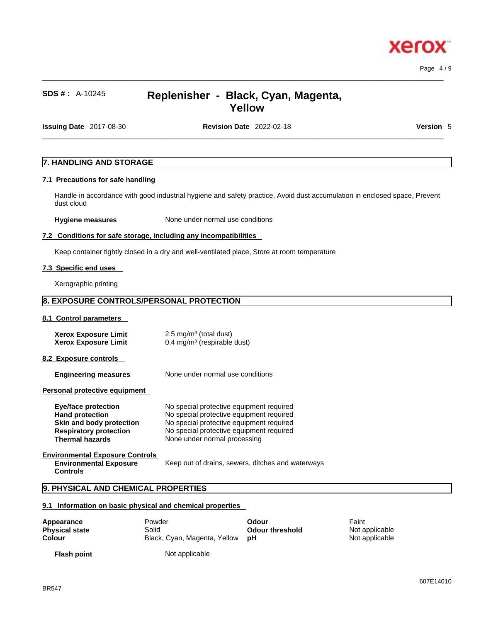xero

# **SDS # :** A-10245 **Replenisher - Black, Cyan, Magenta, Yellow**

 $\_$  ,  $\_$  ,  $\_$  ,  $\_$  ,  $\_$  ,  $\_$  ,  $\_$  ,  $\_$  ,  $\_$  ,  $\_$  ,  $\_$  ,  $\_$  ,  $\_$  ,  $\_$  ,  $\_$  ,  $\_$  ,  $\_$  ,  $\_$  ,  $\_$  ,  $\_$  ,  $\_$  ,  $\_$  ,  $\_$  ,  $\_$  ,  $\_$  ,  $\_$  ,  $\_$  ,  $\_$  ,  $\_$  ,  $\_$  ,  $\_$  ,  $\_$  ,  $\_$  ,  $\_$  ,  $\_$  ,  $\_$  ,  $\_$  ,

**Issuing Date** 2017-08-30 **Revision Date** 2022-02-18 **Version** 5

 $\_$  ,  $\_$  ,  $\_$  ,  $\_$  ,  $\_$  ,  $\_$  ,  $\_$  ,  $\_$  ,  $\_$  ,  $\_$  ,  $\_$  ,  $\_$  ,  $\_$  ,  $\_$  ,  $\_$  ,  $\_$  ,  $\_$  ,  $\_$  ,  $\_$  ,  $\_$  ,  $\_$  ,  $\_$  ,  $\_$  ,  $\_$  ,  $\_$  ,  $\_$  ,  $\_$  ,  $\_$  ,  $\_$  ,  $\_$  ,  $\_$  ,  $\_$  ,  $\_$  ,  $\_$  ,  $\_$  ,  $\_$  ,  $\_$  ,

## **7. HANDLING AND STORAGE**

### **7.1 Precautions for safe handling**

Handle in accordance with good industrial hygiene and safety practice, Avoid dust accumulation in enclosed space, Prevent dust cloud

**Hygiene measures** None under normal use conditions

### **7.2 Conditions for safe storage, including any incompatibilities**

Keep container tightly closed in a dry and well-ventilated place, Store at room temperature

### **7.3 Specific end uses**

Xerographic printing

# **8. EXPOSURE CONTROLS/PERSONAL PROTECTION**

### **8.1 Control parameters**

| Xerox Exposure Limit | $2.5 \text{ mg/m}^3$ (total dust)      |
|----------------------|----------------------------------------|
| Xerox Exposure Limit | $0.4 \text{ mg/m}^3$ (respirable dust) |

### **8.2 Exposure controls**

**Engineering measures** None under normal use conditions

### **Personal protective equipment**

| Eye/face protection           | No special protective equipment required |
|-------------------------------|------------------------------------------|
| <b>Hand protection</b>        | No special protective equipment required |
| Skin and body protection      | No special protective equipment required |
| <b>Respiratory protection</b> | No special protective equipment required |
| <b>Thermal hazards</b>        | None under normal processing             |

**Environmental Exposure Controls Environmental Exposure**

**Controls**  Keep out of drains, sewers, ditches and waterways

# **9. PHYSICAL AND CHEMICAL PROPERTIES**

### **9.1 Information on basic physical and chemical properties**

| Appearance            | Powder                       | Odour                  | Faint          |  |
|-----------------------|------------------------------|------------------------|----------------|--|
| <b>Physical state</b> | Solid                        | <b>Odour threshold</b> | Not applicable |  |
| <b>Colour</b>         | Black, Cyan, Magenta, Yellow | юH                     | Not applicable |  |
| Flash point           | Not applicable               |                        |                |  |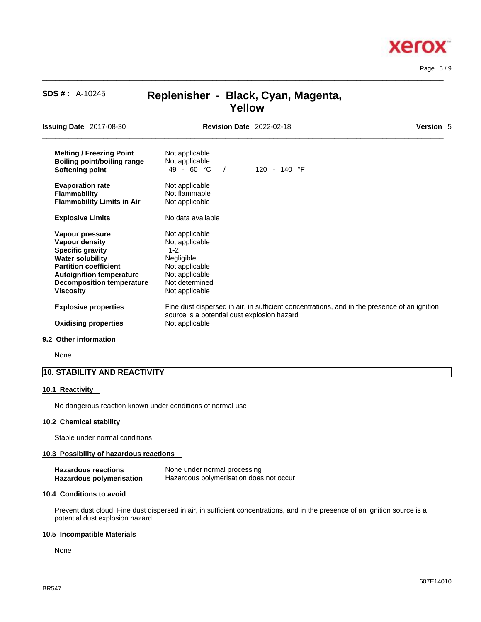$\_$  ,  $\_$  ,  $\_$  ,  $\_$  ,  $\_$  ,  $\_$  ,  $\_$  ,  $\_$  ,  $\_$  ,  $\_$  ,  $\_$  ,  $\_$  ,  $\_$  ,  $\_$  ,  $\_$  ,  $\_$  ,  $\_$  ,  $\_$  ,  $\_$  ,  $\_$  ,  $\_$  ,  $\_$  ,  $\_$  ,  $\_$  ,  $\_$  ,  $\_$  ,  $\_$  ,  $\_$  ,  $\_$  ,  $\_$  ,  $\_$  ,  $\_$  ,  $\_$  ,  $\_$  ,  $\_$  ,  $\_$  ,  $\_$  , Page 5 / 9

**Xerox** 

| <b>SDS #:</b> $A-10245$<br>Replenisher - Black, Cyan, Magenta,<br><b>Yellow</b>                                                                                                                                           |                                                                                                                                                               |                       |           |
|---------------------------------------------------------------------------------------------------------------------------------------------------------------------------------------------------------------------------|---------------------------------------------------------------------------------------------------------------------------------------------------------------|-----------------------|-----------|
| <b>Issuing Date 2017-08-30</b>                                                                                                                                                                                            | <b>Revision Date 2022-02-18</b>                                                                                                                               |                       | Version 5 |
| <b>Melting / Freezing Point</b><br><b>Boiling point/boiling range</b><br>Softening point                                                                                                                                  | Not applicable<br>Not applicable<br>49 - 60 °C<br>$\sqrt{2}$                                                                                                  | 120 - 140 $\degree$ F |           |
| <b>Evaporation rate</b><br><b>Flammability</b><br><b>Flammability Limits in Air</b>                                                                                                                                       | Not applicable<br>Not flammable<br>Not applicable                                                                                                             |                       |           |
| <b>Explosive Limits</b>                                                                                                                                                                                                   | No data available                                                                                                                                             |                       |           |
| Vapour pressure<br><b>Vapour density</b><br><b>Specific gravity</b><br><b>Water solubility</b><br><b>Partition coefficient</b><br><b>Autoignition temperature</b><br><b>Decomposition temperature</b><br><b>Viscosity</b> | Not applicable<br>Not applicable<br>$1 - 2$<br>Negligible<br>Not applicable<br>Not applicable<br>Not determined<br>Not applicable                             |                       |           |
| <b>Explosive properties</b><br><b>Oxidising properties</b>                                                                                                                                                                | Fine dust dispersed in air, in sufficient concentrations, and in the presence of an ignition<br>source is a potential dust explosion hazard<br>Not applicable |                       |           |

### **9.2 Other information**

None

# **10. STABILITY AND REACTIVITY**

### **10.1 Reactivity**

No dangerous reaction known under conditions of normal use

## **10.2 Chemical stability**

Stable under normal conditions

# **10.3 Possibility of hazardous reactions**

| <b>Hazardous reactions</b> | None under normal processing            |
|----------------------------|-----------------------------------------|
| Hazardous polymerisation   | Hazardous polymerisation does not occur |

### **10.4 Conditions to avoid**

Prevent dust cloud, Fine dust dispersed in air, in sufficient concentrations, and in the presence of an ignition source is a potential dust explosion hazard

### **10.5 Incompatible Materials**

None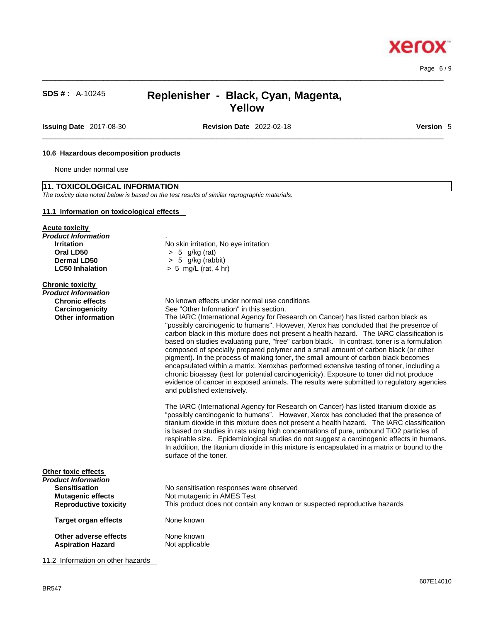Page 6 / 9

X.

**Xero** 

# **SDS # :** A-10245 **Replenisher - Black, Cyan, Magenta, Yellow**

 $\_$  ,  $\_$  ,  $\_$  ,  $\_$  ,  $\_$  ,  $\_$  ,  $\_$  ,  $\_$  ,  $\_$  ,  $\_$  ,  $\_$  ,  $\_$  ,  $\_$  ,  $\_$  ,  $\_$  ,  $\_$  ,  $\_$  ,  $\_$  ,  $\_$  ,  $\_$  ,  $\_$  ,  $\_$  ,  $\_$  ,  $\_$  ,  $\_$  ,  $\_$  ,  $\_$  ,  $\_$  ,  $\_$  ,  $\_$  ,  $\_$  ,  $\_$  ,  $\_$  ,  $\_$  ,  $\_$  ,  $\_$  ,  $\_$  ,

**Issuing Date** 2017-08-30 **Revision Date** 2022-02-18 **Version** 5

 $\_$  ,  $\_$  ,  $\_$  ,  $\_$  ,  $\_$  ,  $\_$  ,  $\_$  ,  $\_$  ,  $\_$  ,  $\_$  ,  $\_$  ,  $\_$  ,  $\_$  ,  $\_$  ,  $\_$  ,  $\_$  ,  $\_$  ,  $\_$  ,  $\_$  ,  $\_$  ,  $\_$  ,  $\_$  ,  $\_$  ,  $\_$  ,  $\_$  ,  $\_$  ,  $\_$  ,  $\_$  ,  $\_$  ,  $\_$  ,  $\_$  ,  $\_$  ,  $\_$  ,  $\_$  ,  $\_$  ,  $\_$  ,  $\_$  ,

# **10.6 Hazardous decomposition products**

None under normal use

### **11. TOXICOLOGICAL INFORMATION**

*The toxicity data noted below is based on the test results of similar reprographic materials.* 

# **11.1 Information on toxicological effects**

| <b>Acute toxicity</b>                                                                                                          |                                                                                                                                                                                                                                                                                                                                                                                                                                                                                                                                                                                                                                                                                                                                                                                                                                                                                                                                                                 |
|--------------------------------------------------------------------------------------------------------------------------------|-----------------------------------------------------------------------------------------------------------------------------------------------------------------------------------------------------------------------------------------------------------------------------------------------------------------------------------------------------------------------------------------------------------------------------------------------------------------------------------------------------------------------------------------------------------------------------------------------------------------------------------------------------------------------------------------------------------------------------------------------------------------------------------------------------------------------------------------------------------------------------------------------------------------------------------------------------------------|
| Product Information<br><b>Irritation</b><br>Oral LD50<br><b>Dermal LD50</b><br><b>LC50 Inhalation</b>                          | No skin irritation, No eye irritation<br>$> 5$ g/kg (rat)<br>$> 5$ g/kg (rabbit)<br>$> 5$ mg/L (rat, 4 hr)                                                                                                                                                                                                                                                                                                                                                                                                                                                                                                                                                                                                                                                                                                                                                                                                                                                      |
| <b>Chronic toxicity</b><br>Product Information<br><b>Chronic effects</b><br>Carcinogenicity<br><b>Other information</b>        | No known effects under normal use conditions<br>See "Other Information" in this section.<br>The IARC (International Agency for Research on Cancer) has listed carbon black as<br>"possibly carcinogenic to humans". However, Xerox has concluded that the presence of<br>carbon black in this mixture does not present a health hazard. The IARC classification is<br>based on studies evaluating pure, "free" carbon black. In contrast, toner is a formulation<br>composed of specially prepared polymer and a small amount of carbon black (or other<br>pigment). In the process of making toner, the small amount of carbon black becomes<br>encapsulated within a matrix. Xeroxhas performed extensive testing of toner, including a<br>chronic bioassay (test for potential carcinogenicity). Exposure to toner did not produce<br>evidence of cancer in exposed animals. The results were submitted to regulatory agencies<br>and published extensively. |
|                                                                                                                                | The IARC (International Agency for Research on Cancer) has listed titanium dioxide as<br>"possibly carcinogenic to humans". However, Xerox has concluded that the presence of<br>titanium dioxide in this mixture does not present a health hazard. The IARC classification<br>is based on studies in rats using high concentrations of pure, unbound TiO2 particles of<br>respirable size. Epidemiological studies do not suggest a carcinogenic effects in humans.<br>In addition, the titanium dioxide in this mixture is encapsulated in a matrix or bound to the<br>surface of the toner.                                                                                                                                                                                                                                                                                                                                                                  |
| Other toxic effects<br>Product Information<br><b>Sensitisation</b><br><b>Mutagenic effects</b><br><b>Reproductive toxicity</b> | No sensitisation responses were observed<br>Not mutagenic in AMES Test<br>This product does not contain any known or suspected reproductive hazards                                                                                                                                                                                                                                                                                                                                                                                                                                                                                                                                                                                                                                                                                                                                                                                                             |
| Target organ effects                                                                                                           | None known                                                                                                                                                                                                                                                                                                                                                                                                                                                                                                                                                                                                                                                                                                                                                                                                                                                                                                                                                      |
| Other adverse effects<br><b>Aspiration Hazard</b>                                                                              | None known<br>Not applicable                                                                                                                                                                                                                                                                                                                                                                                                                                                                                                                                                                                                                                                                                                                                                                                                                                                                                                                                    |

11.2 Information on other hazards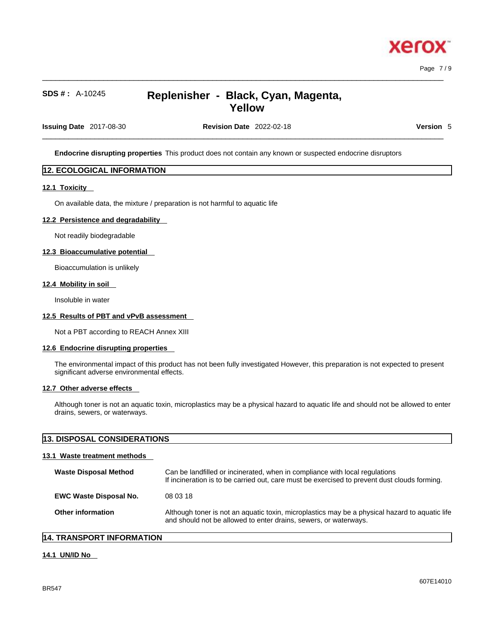

Page 7 / 9

# **SDS # :** A-10245 **Replenisher - Black, Cyan, Magenta, Yellow**

**Issuing Date** 2017-08-30 **Revision Date** 2022-02-18 **Version** 5

 $\_$  ,  $\_$  ,  $\_$  ,  $\_$  ,  $\_$  ,  $\_$  ,  $\_$  ,  $\_$  ,  $\_$  ,  $\_$  ,  $\_$  ,  $\_$  ,  $\_$  ,  $\_$  ,  $\_$  ,  $\_$  ,  $\_$  ,  $\_$  ,  $\_$  ,  $\_$  ,  $\_$  ,  $\_$  ,  $\_$  ,  $\_$  ,  $\_$  ,  $\_$  ,  $\_$  ,  $\_$  ,  $\_$  ,  $\_$  ,  $\_$  ,  $\_$  ,  $\_$  ,  $\_$  ,  $\_$  ,  $\_$  ,  $\_$  ,

 $\_$  ,  $\_$  ,  $\_$  ,  $\_$  ,  $\_$  ,  $\_$  ,  $\_$  ,  $\_$  ,  $\_$  ,  $\_$  ,  $\_$  ,  $\_$  ,  $\_$  ,  $\_$  ,  $\_$  ,  $\_$  ,  $\_$  ,  $\_$  ,  $\_$  ,  $\_$  ,  $\_$  ,  $\_$  ,  $\_$  ,  $\_$  ,  $\_$  ,  $\_$  ,  $\_$  ,  $\_$  ,  $\_$  ,  $\_$  ,  $\_$  ,  $\_$  ,  $\_$  ,  $\_$  ,  $\_$  ,  $\_$  ,  $\_$  ,

**Endocrine disrupting properties** This product does not contain any known or suspected endocrine disruptors

# **12. ECOLOGICAL INFORMATION**

### **12.1 Toxicity**

On available data, the mixture / preparation is not harmful to aquatic life

### **12.2 Persistence and degradability**

Not readily biodegradable

## **12.3 Bioaccumulative potential**

Bioaccumulation is unlikely

### **12.4 Mobility in soil**

Insoluble in water

# **12.5 Results of PBT and vPvB assessment**

Not a PBT according to REACH Annex XIII

### **12.6 Endocrine disrupting properties**

The environmental impact of this product has not been fully investigated However, this preparation is not expected to present significant adverse environmental effects.

### **12.7 Other adverse effects**

Although toner is not an aquatic toxin, microplastics may be a physical hazard to aquatic life and should not be allowed to enter drains, sewers, or waterways.

# **13. DISPOSAL CONSIDERATIONS**

# **13.1 Waste treatment methods**

| <b>Waste Disposal Method</b>  | Can be landfilled or incinerated, when in compliance with local regulations<br>If incineration is to be carried out, care must be exercised to prevent dust clouds forming. |
|-------------------------------|-----------------------------------------------------------------------------------------------------------------------------------------------------------------------------|
| <b>EWC Waste Disposal No.</b> | 08 03 18                                                                                                                                                                    |
| <b>Other information</b>      | Although toner is not an aquatic toxin, microplastics may be a physical hazard to aquatic life<br>and should not be allowed to enter drains, sewers, or waterways.          |

# **14. TRANSPORT INFORMATION**

### **14.1 UN/ID No**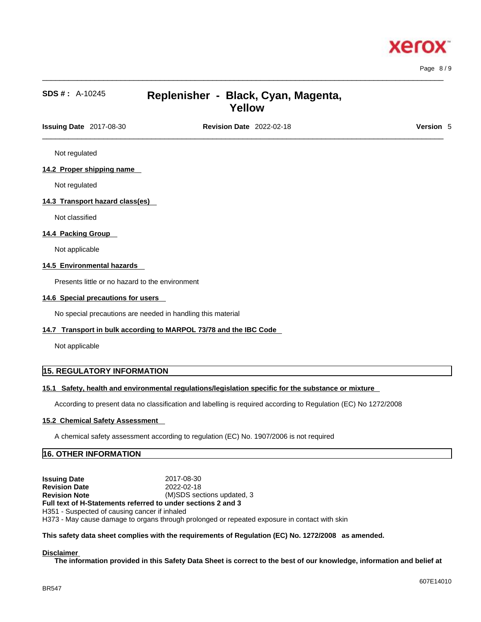

# **SDS # :** A-10245 **Replenisher - Black, Cyan, Magenta, Yellow**

**Issuing Date** 2017-08-30 **Revision Date** 2022-02-18 **Version** 5

 $\_$  ,  $\_$  ,  $\_$  ,  $\_$  ,  $\_$  ,  $\_$  ,  $\_$  ,  $\_$  ,  $\_$  ,  $\_$  ,  $\_$  ,  $\_$  ,  $\_$  ,  $\_$  ,  $\_$  ,  $\_$  ,  $\_$  ,  $\_$  ,  $\_$  ,  $\_$  ,  $\_$  ,  $\_$  ,  $\_$  ,  $\_$  ,  $\_$  ,  $\_$  ,  $\_$  ,  $\_$  ,  $\_$  ,  $\_$  ,  $\_$  ,  $\_$  ,  $\_$  ,  $\_$  ,  $\_$  ,  $\_$  ,  $\_$  ,

 $\_$  ,  $\_$  ,  $\_$  ,  $\_$  ,  $\_$  ,  $\_$  ,  $\_$  ,  $\_$  ,  $\_$  ,  $\_$  ,  $\_$  ,  $\_$  ,  $\_$  ,  $\_$  ,  $\_$  ,  $\_$  ,  $\_$  ,  $\_$  ,  $\_$  ,  $\_$  ,  $\_$  ,  $\_$  ,  $\_$  ,  $\_$  ,  $\_$  ,  $\_$  ,  $\_$  ,  $\_$  ,  $\_$  ,  $\_$  ,  $\_$  ,  $\_$  ,  $\_$  ,  $\_$  ,  $\_$  ,  $\_$  ,  $\_$  ,

Not regulated

### **14.2 Proper shipping name**

Not regulated

### **14.3 Transport hazard class(es)**

Not classified

### **14.4 Packing Group**

Not applicable

### **14.5 Environmental hazards**

Presents little or no hazard to the environment

### **14.6 Special precautions for users**

No special precautions are needed in handling this material

### **14.7 Transport in bulk according to MARPOL 73/78 and the IBC Code**

Not applicable

# **15. REGULATORY INFORMATION**

### **15.1 Safety, health and environmental regulations/legislation specific for the substance or mixture**

According to present data no classification and labelling is required according to Regulation (EC) No 1272/2008

### **15.2 Chemical Safety Assessment**

A chemical safety assessment according to regulation (EC) No. 1907/2006 isnot required

# **16. OTHER INFORMATION**

**Issuing Date** 2017-08-30 **Revision Date** 2022-02-18 **Revision Note** (M)SDS sections updated, 3 **Full text of H-Statements referred to undersections 2 and 3** H351 - Suspected of causing cancer if inhaled H373 - May cause damage to organs through prolonged or repeated exposure in contact with skin

### **This safety data sheet complies with the requirements of Regulation (EC) No. 1272/2008 as amended.**

### **Disclaimer**

The information provided in this Safety Data Sheet is correct to the best of our knowledge, information and belief at